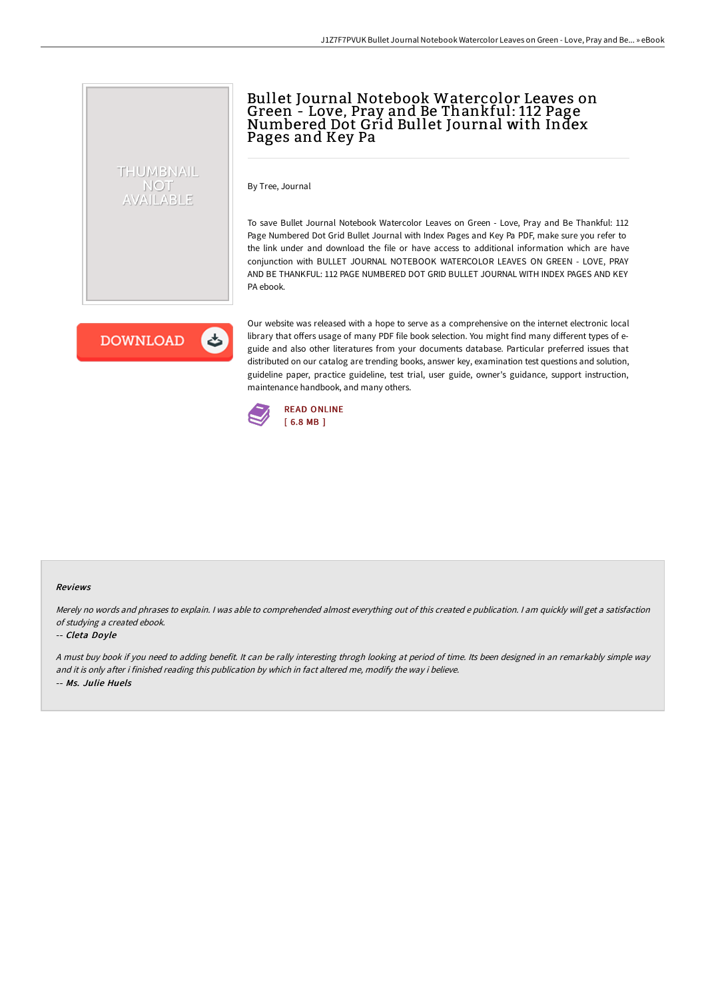## Bullet Journal Notebook Watercolor Leaves on Green - Love, Pray and Be Thankful: 112 Page Numbered Dot Grid Bullet Journal with Index Pages and Key Pa

By Tree, Journal

To save Bullet Journal Notebook Watercolor Leaves on Green - Love, Pray and Be Thankful: 112 Page Numbered Dot Grid Bullet Journal with Index Pages and Key Pa PDF, make sure you refer to the link under and download the file or have access to additional information which are have conjunction with BULLET JOURNAL NOTEBOOK WATERCOLOR LEAVES ON GREEN - LOVE, PRAY AND BE THANKFUL: 112 PAGE NUMBERED DOT GRID BULLET JOURNAL WITH INDEX PAGES AND KEY PA ebook.

**DOWNLOAD** くち

THUMBNAIL NOT AVAILABLE

> Our website was released with a hope to serve as a comprehensive on the internet electronic local library that offers usage of many PDF file book selection. You might find many different types of eguide and also other literatures from your documents database. Particular preferred issues that distributed on our catalog are trending books, answer key, examination test questions and solution, guideline paper, practice guideline, test trial, user guide, owner's guidance, support instruction, maintenance handbook, and many others.



#### Reviews

Merely no words and phrases to explain. <sup>I</sup> was able to comprehended almost everything out of this created <sup>e</sup> publication. <sup>I</sup> am quickly will get <sup>a</sup> satisfaction of studying <sup>a</sup> created ebook.

#### -- Cleta Doyle

<sup>A</sup> must buy book if you need to adding benefit. It can be rally interesting throgh looking at period of time. Its been designed in an remarkably simple way and it is only after i finished reading this publication by which in fact altered me, modify the way i believe. -- Ms. Julie Huels